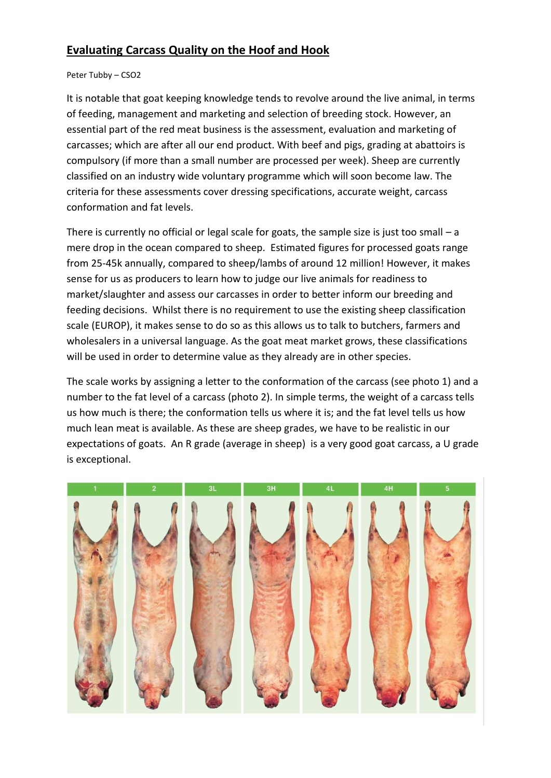## **Evaluating Carcass Quality on the Hoof and Hook**

## Peter Tubby – CSO2

It is notable that goat keeping knowledge tends to revolve around the live animal, in terms of feeding, management and marketing and selection of breeding stock. However, an essential part of the red meat business is the assessment, evaluation and marketing of carcasses; which are after all our end product. With beef and pigs, grading at abattoirs is compulsory (if more than a small number are processed per week). Sheep are currently classified on an industry wide voluntary programme which will soon become law. The criteria for these assessments cover dressing specifications, accurate weight, carcass conformation and fat levels.

There is currently no official or legal scale for goats, the sample size is just too small  $-$  a mere drop in the ocean compared to sheep. Estimated figures for processed goats range from 25-45k annually, compared to sheep/lambs of around 12 million! However, it makes sense for us as producers to learn how to judge our live animals for readiness to market/slaughter and assess our carcasses in order to better inform our breeding and feeding decisions. Whilst there is no requirement to use the existing sheep classification scale (EUROP), it makes sense to do so as this allows us to talk to butchers, farmers and wholesalers in a universal language. As the goat meat market grows, these classifications will be used in order to determine value as they already are in other species.

The scale works by assigning a letter to the conformation of the carcass (see photo 1) and a number to the fat level of a carcass (photo 2). In simple terms, the weight of a carcass tells us how much is there; the conformation tells us where it is; and the fat level tells us how much lean meat is available. As these are sheep grades, we have to be realistic in our expectations of goats. An R grade (average in sheep) is a very good goat carcass, a U grade is exceptional.

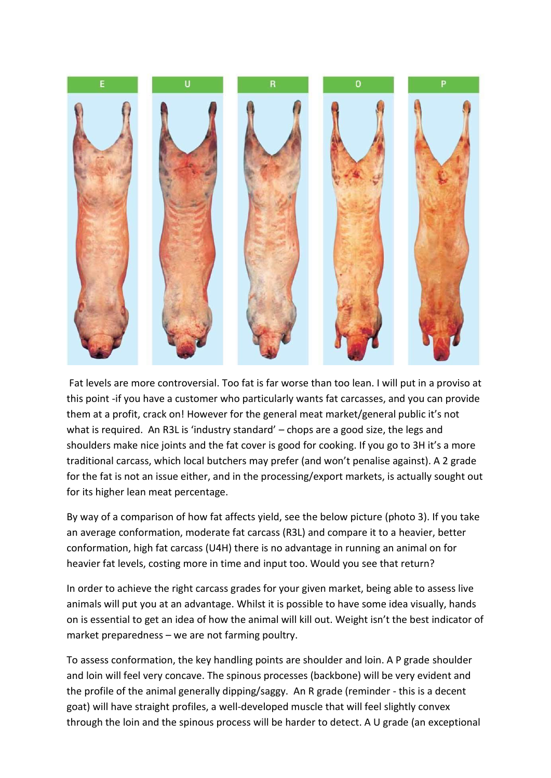

Fat levels are more controversial. Too fat is far worse than too lean. I will put in a proviso at this point -if you have a customer who particularly wants fat carcasses, and you can provide them at a profit, crack on! However for the general meat market/general public it's not what is required. An R3L is 'industry standard' – chops are a good size, the legs and shoulders make nice joints and the fat cover is good for cooking. If you go to 3H it's a more traditional carcass, which local butchers may prefer (and won't penalise against). A 2 grade for the fat is not an issue either, and in the processing/export markets, is actually sought out for its higher lean meat percentage.

By way of a comparison of how fat affects yield, see the below picture (photo 3). If you take an average conformation, moderate fat carcass (R3L) and compare it to a heavier, better conformation, high fat carcass (U4H) there is no advantage in running an animal on for heavier fat levels, costing more in time and input too. Would you see that return?

In order to achieve the right carcass grades for your given market, being able to assess live animals will put you at an advantage. Whilst it is possible to have some idea visually, hands on is essential to get an idea of how the animal will kill out. Weight isn't the best indicator of market preparedness – we are not farming poultry.

To assess conformation, the key handling points are shoulder and loin. A P grade shoulder and loin will feel very concave. The spinous processes (backbone) will be very evident and the profile of the animal generally dipping/saggy. An R grade (reminder - this is a decent goat) will have straight profiles, a well-developed muscle that will feel slightly convex through the loin and the spinous process will be harder to detect. A U grade (an exceptional